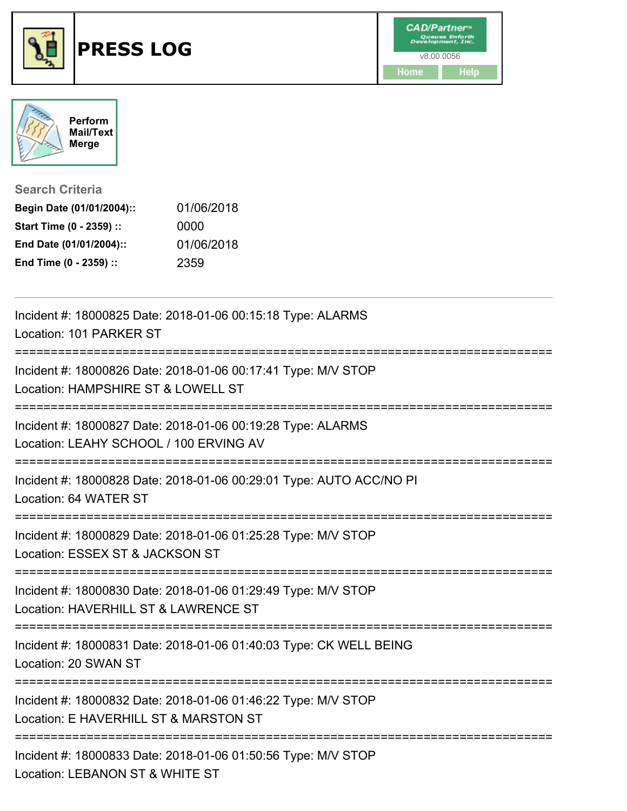



**Search Criteria**

| Begin Date (01/01/2004):: | 01/06/2018 |
|---------------------------|------------|
| Start Time (0 - 2359) ::  | 0000       |
| End Date (01/01/2004)::   | 01/06/2018 |
| End Time (0 - 2359) ::    | 2359       |

| Incident #: 18000825 Date: 2018-01-06 00:15:18 Type: ALARMS<br>Location: 101 PARKER ST                                           |
|----------------------------------------------------------------------------------------------------------------------------------|
| Incident #: 18000826 Date: 2018-01-06 00:17:41 Type: M/V STOP<br>Location: HAMPSHIRE ST & LOWELL ST<br>========================= |
| Incident #: 18000827 Date: 2018-01-06 00:19:28 Type: ALARMS<br>Location: LEAHY SCHOOL / 100 ERVING AV                            |
| Incident #: 18000828 Date: 2018-01-06 00:29:01 Type: AUTO ACC/NO PI<br>Location: 64 WATER ST                                     |
| Incident #: 18000829 Date: 2018-01-06 01:25:28 Type: M/V STOP<br>Location: ESSEX ST & JACKSON ST<br>---------------              |
| Incident #: 18000830 Date: 2018-01-06 01:29:49 Type: M/V STOP<br>Location: HAVERHILL ST & LAWRENCE ST                            |
| Incident #: 18000831 Date: 2018-01-06 01:40:03 Type: CK WELL BEING<br>Location: 20 SWAN ST                                       |
| Incident #: 18000832 Date: 2018-01-06 01:46:22 Type: M/V STOP<br>Location: E HAVERHILL ST & MARSTON ST                           |
| Incident #: 18000833 Date: 2018-01-06 01:50:56 Type: M/V STOP<br>Location: LEBANON ST & WHITE ST                                 |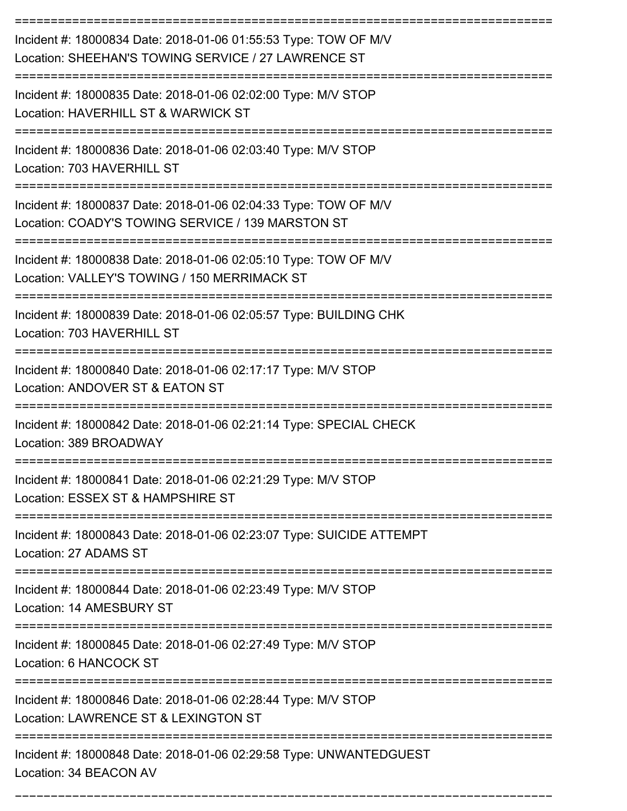| Incident #: 18000834 Date: 2018-01-06 01:55:53 Type: TOW OF M/V<br>Location: SHEEHAN'S TOWING SERVICE / 27 LAWRENCE ST |
|------------------------------------------------------------------------------------------------------------------------|
| Incident #: 18000835 Date: 2018-01-06 02:02:00 Type: M/V STOP<br>Location: HAVERHILL ST & WARWICK ST                   |
| Incident #: 18000836 Date: 2018-01-06 02:03:40 Type: M/V STOP<br>Location: 703 HAVERHILL ST                            |
| Incident #: 18000837 Date: 2018-01-06 02:04:33 Type: TOW OF M/V<br>Location: COADY'S TOWING SERVICE / 139 MARSTON ST   |
| Incident #: 18000838 Date: 2018-01-06 02:05:10 Type: TOW OF M/V<br>Location: VALLEY'S TOWING / 150 MERRIMACK ST        |
| Incident #: 18000839 Date: 2018-01-06 02:05:57 Type: BUILDING CHK<br>Location: 703 HAVERHILL ST                        |
| Incident #: 18000840 Date: 2018-01-06 02:17:17 Type: M/V STOP<br>Location: ANDOVER ST & EATON ST                       |
| Incident #: 18000842 Date: 2018-01-06 02:21:14 Type: SPECIAL CHECK<br>Location: 389 BROADWAY                           |
| Incident #: 18000841 Date: 2018-01-06 02:21:29 Type: M/V STOP<br>Location: ESSEX ST & HAMPSHIRE ST                     |
| Incident #: 18000843 Date: 2018-01-06 02:23:07 Type: SUICIDE ATTEMPT<br>Location: 27 ADAMS ST                          |
| Incident #: 18000844 Date: 2018-01-06 02:23:49 Type: M/V STOP<br>Location: 14 AMESBURY ST                              |
| Incident #: 18000845 Date: 2018-01-06 02:27:49 Type: M/V STOP<br>Location: 6 HANCOCK ST                                |
| Incident #: 18000846 Date: 2018-01-06 02:28:44 Type: M/V STOP<br>Location: LAWRENCE ST & LEXINGTON ST                  |
| Incident #: 18000848 Date: 2018-01-06 02:29:58 Type: UNWANTEDGUEST<br>Location: 34 BEACON AV                           |

===========================================================================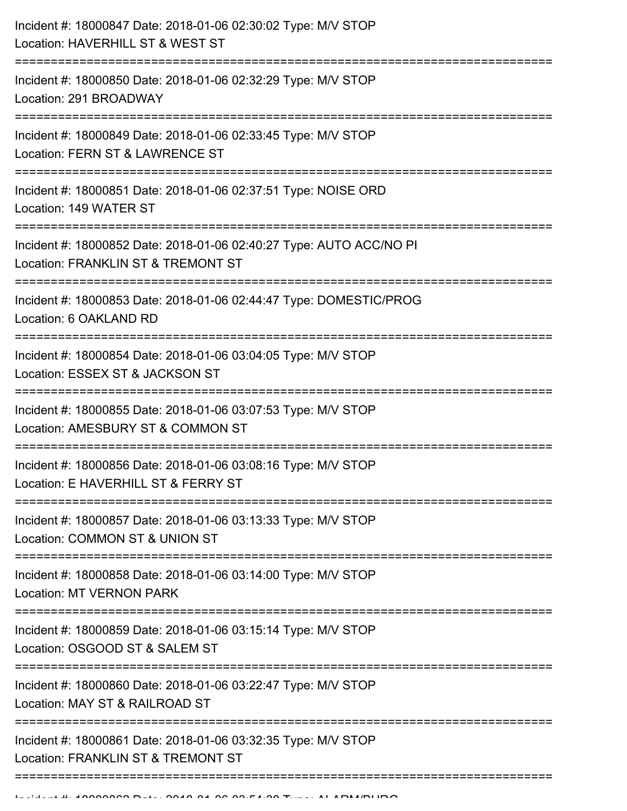| Location: HAVERHILL ST & WEST ST                                                                                                    |
|-------------------------------------------------------------------------------------------------------------------------------------|
| Incident #: 18000850 Date: 2018-01-06 02:32:29 Type: M/V STOP<br>Location: 291 BROADWAY                                             |
| Incident #: 18000849 Date: 2018-01-06 02:33:45 Type: M/V STOP<br>Location: FERN ST & LAWRENCE ST<br>--------------------            |
| Incident #: 18000851 Date: 2018-01-06 02:37:51 Type: NOISE ORD<br>Location: 149 WATER ST                                            |
| Incident #: 18000852 Date: 2018-01-06 02:40:27 Type: AUTO ACC/NO PI<br>Location: FRANKLIN ST & TREMONT ST                           |
| Incident #: 18000853 Date: 2018-01-06 02:44:47 Type: DOMESTIC/PROG<br>Location: 6 OAKLAND RD                                        |
| Incident #: 18000854 Date: 2018-01-06 03:04:05 Type: M/V STOP<br>Location: ESSEX ST & JACKSON ST<br><u>:=======================</u> |
| Incident #: 18000855 Date: 2018-01-06 03:07:53 Type: M/V STOP<br>Location: AMESBURY ST & COMMON ST                                  |
| Incident #: 18000856 Date: 2018-01-06 03:08:16 Type: M/V STOP<br>Location: E HAVERHILL ST & FERRY ST                                |
| Incident #: 18000857 Date: 2018-01-06 03:13:33 Type: M/V STOP<br>Location: COMMON ST & UNION ST                                     |
| Incident #: 18000858 Date: 2018-01-06 03:14:00 Type: M/V STOP<br><b>Location: MT VERNON PARK</b>                                    |
| Incident #: 18000859 Date: 2018-01-06 03:15:14 Type: M/V STOP<br>Location: OSGOOD ST & SALEM ST                                     |
| Incident #: 18000860 Date: 2018-01-06 03:22:47 Type: M/V STOP<br>Location: MAY ST & RAILROAD ST                                     |
| Incident #: 18000861 Date: 2018-01-06 03:32:35 Type: M/V STOP<br>Location: FRANKLIN ST & TREMONT ST                                 |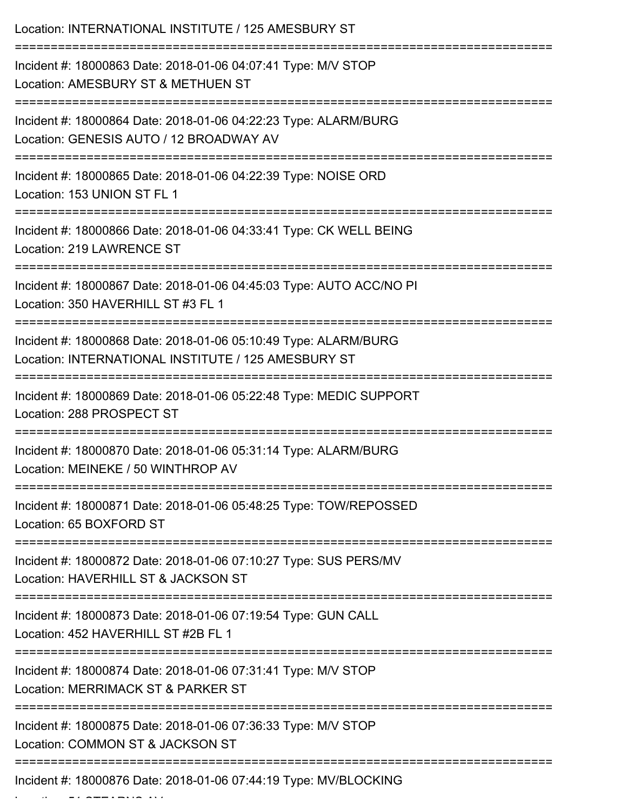| Location: INTERNATIONAL INSTITUTE / 125 AMESBURY ST                                                                                              |
|--------------------------------------------------------------------------------------------------------------------------------------------------|
| Incident #: 18000863 Date: 2018-01-06 04:07:41 Type: M/V STOP<br>Location: AMESBURY ST & METHUEN ST                                              |
| Incident #: 18000864 Date: 2018-01-06 04:22:23 Type: ALARM/BURG<br>Location: GENESIS AUTO / 12 BROADWAY AV<br>:==========================        |
| Incident #: 18000865 Date: 2018-01-06 04:22:39 Type: NOISE ORD<br>Location: 153 UNION ST FL 1                                                    |
| Incident #: 18000866 Date: 2018-01-06 04:33:41 Type: CK WELL BEING<br>Location: 219 LAWRENCE ST                                                  |
| Incident #: 18000867 Date: 2018-01-06 04:45:03 Type: AUTO ACC/NO PI<br>Location: 350 HAVERHILL ST #3 FL 1                                        |
| Incident #: 18000868 Date: 2018-01-06 05:10:49 Type: ALARM/BURG<br>Location: INTERNATIONAL INSTITUTE / 125 AMESBURY ST<br>:===================== |
| Incident #: 18000869 Date: 2018-01-06 05:22:48 Type: MEDIC SUPPORT<br>Location: 288 PROSPECT ST                                                  |
| Incident #: 18000870 Date: 2018-01-06 05:31:14 Type: ALARM/BURG<br>Location: MEINEKE / 50 WINTHROP AV                                            |
| Incident #: 18000871 Date: 2018-01-06 05:48:25 Type: TOW/REPOSSED<br>Location: 65 BOXFORD ST                                                     |
| Incident #: 18000872 Date: 2018-01-06 07:10:27 Type: SUS PERS/MV<br>Location: HAVERHILL ST & JACKSON ST                                          |
| Incident #: 18000873 Date: 2018-01-06 07:19:54 Type: GUN CALL<br>Location: 452 HAVERHILL ST #2B FL 1                                             |
| Incident #: 18000874 Date: 2018-01-06 07:31:41 Type: M/V STOP<br>Location: MERRIMACK ST & PARKER ST                                              |
| Incident #: 18000875 Date: 2018-01-06 07:36:33 Type: M/V STOP<br>Location: COMMON ST & JACKSON ST                                                |
| Incident #: 18000876 Date: 2018-01-06 07:44:19 Type: MV/BLOCKING                                                                                 |

Location: 51 STEARNS AV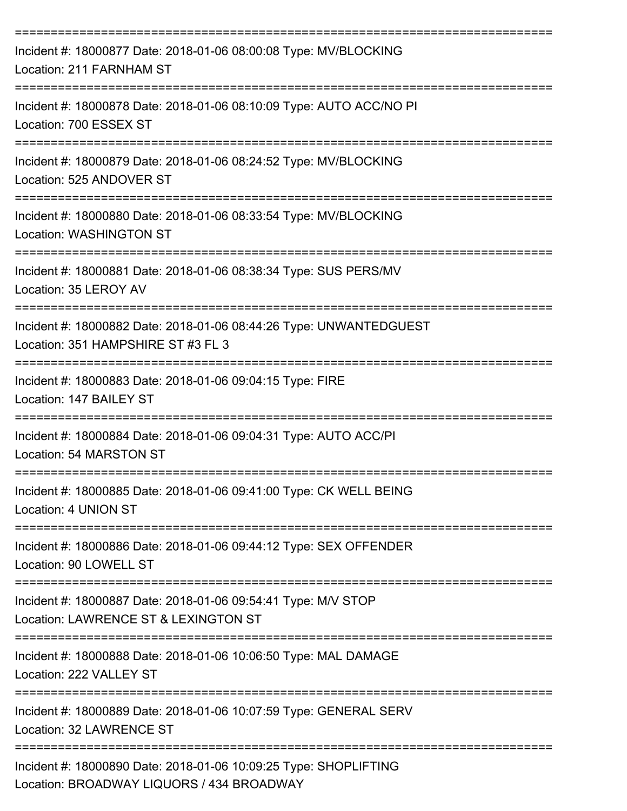| Incident #: 18000877 Date: 2018-01-06 08:00:08 Type: MV/BLOCKING<br>Location: 211 FARNHAM ST                             |
|--------------------------------------------------------------------------------------------------------------------------|
| Incident #: 18000878 Date: 2018-01-06 08:10:09 Type: AUTO ACC/NO PI<br>Location: 700 ESSEX ST                            |
| Incident #: 18000879 Date: 2018-01-06 08:24:52 Type: MV/BLOCKING<br>Location: 525 ANDOVER ST                             |
| Incident #: 18000880 Date: 2018-01-06 08:33:54 Type: MV/BLOCKING<br><b>Location: WASHINGTON ST</b>                       |
| Incident #: 18000881 Date: 2018-01-06 08:38:34 Type: SUS PERS/MV<br>Location: 35 LEROY AV                                |
| Incident #: 18000882 Date: 2018-01-06 08:44:26 Type: UNWANTEDGUEST<br>Location: 351 HAMPSHIRE ST #3 FL 3                 |
| Incident #: 18000883 Date: 2018-01-06 09:04:15 Type: FIRE<br>Location: 147 BAILEY ST                                     |
| Incident #: 18000884 Date: 2018-01-06 09:04:31 Type: AUTO ACC/PI<br>Location: 54 MARSTON ST                              |
| Incident #: 18000885 Date: 2018-01-06 09:41:00 Type: CK WELL BEING<br>Location: 4 UNION ST                               |
| -------------------------<br>Incident #: 18000886 Date: 2018-01-06 09:44:12 Type: SEX OFFENDER<br>Location: 90 LOWELL ST |
| Incident #: 18000887 Date: 2018-01-06 09:54:41 Type: M/V STOP<br>Location: LAWRENCE ST & LEXINGTON ST                    |
| Incident #: 18000888 Date: 2018-01-06 10:06:50 Type: MAL DAMAGE<br>Location: 222 VALLEY ST                               |
| Incident #: 18000889 Date: 2018-01-06 10:07:59 Type: GENERAL SERV<br>Location: 32 LAWRENCE ST                            |
| Incident #: 18000890 Date: 2018-01-06 10:09:25 Type: SHOPLIFTING<br>Location: BROADWAY LIQUORS / 434 BROADWAY            |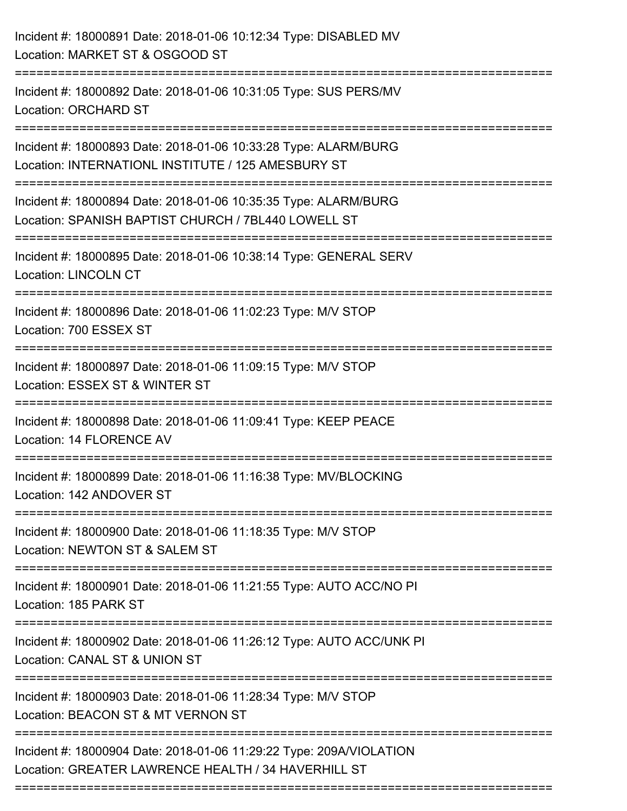| Incident #: 18000891 Date: 2018-01-06 10:12:34 Type: DISABLED MV<br>Location: MARKET ST & OSGOOD ST                        |
|----------------------------------------------------------------------------------------------------------------------------|
| Incident #: 18000892 Date: 2018-01-06 10:31:05 Type: SUS PERS/MV<br><b>Location: ORCHARD ST</b>                            |
| Incident #: 18000893 Date: 2018-01-06 10:33:28 Type: ALARM/BURG<br>Location: INTERNATIONL INSTITUTE / 125 AMESBURY ST      |
| Incident #: 18000894 Date: 2018-01-06 10:35:35 Type: ALARM/BURG<br>Location: SPANISH BAPTIST CHURCH / 7BL440 LOWELL ST     |
| Incident #: 18000895 Date: 2018-01-06 10:38:14 Type: GENERAL SERV<br><b>Location: LINCOLN CT</b>                           |
| Incident #: 18000896 Date: 2018-01-06 11:02:23 Type: M/V STOP<br>Location: 700 ESSEX ST                                    |
| Incident #: 18000897 Date: 2018-01-06 11:09:15 Type: M/V STOP<br>Location: ESSEX ST & WINTER ST                            |
| Incident #: 18000898 Date: 2018-01-06 11:09:41 Type: KEEP PEACE<br>Location: 14 FLORENCE AV                                |
| Incident #: 18000899 Date: 2018-01-06 11:16:38 Type: MV/BLOCKING<br>Location: 142 ANDOVER ST                               |
| Incident #: 18000900 Date: 2018-01-06 11:18:35 Type: M/V STOP<br>Location: NEWTON ST & SALEM ST                            |
| Incident #: 18000901 Date: 2018-01-06 11:21:55 Type: AUTO ACC/NO PI<br>Location: 185 PARK ST                               |
| Incident #: 18000902 Date: 2018-01-06 11:26:12 Type: AUTO ACC/UNK PI<br>Location: CANAL ST & UNION ST                      |
| Incident #: 18000903 Date: 2018-01-06 11:28:34 Type: M/V STOP<br>Location: BEACON ST & MT VERNON ST                        |
| Incident #: 18000904 Date: 2018-01-06 11:29:22 Type: 209A/VIOLATION<br>Location: GREATER LAWRENCE HEALTH / 34 HAVERHILL ST |
|                                                                                                                            |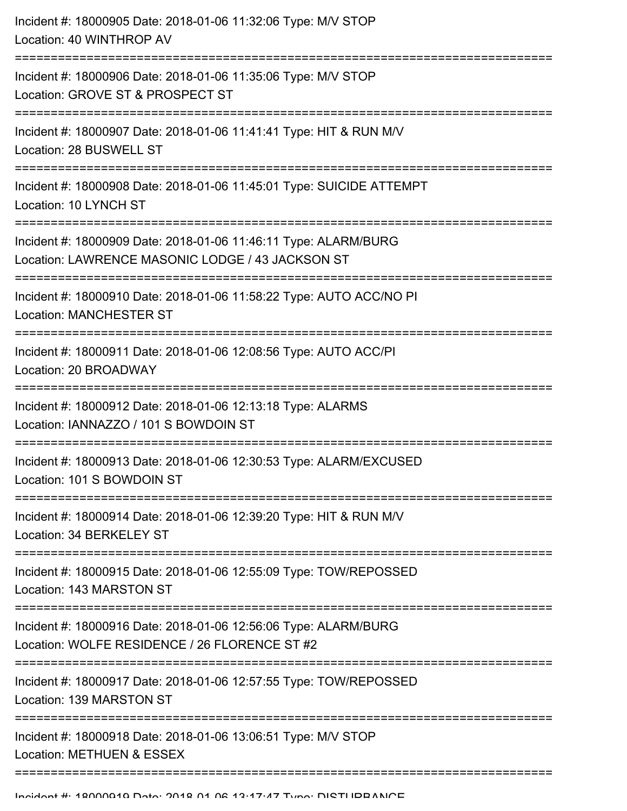| Incident #: 18000905 Date: 2018-01-06 11:32:06 Type: M/V STOP<br>Location: 40 WINTHROP AV                                                                         |
|-------------------------------------------------------------------------------------------------------------------------------------------------------------------|
| Incident #: 18000906 Date: 2018-01-06 11:35:06 Type: M/V STOP<br>Location: GROVE ST & PROSPECT ST                                                                 |
| Incident #: 18000907 Date: 2018-01-06 11:41:41 Type: HIT & RUN M/V<br>Location: 28 BUSWELL ST                                                                     |
| Incident #: 18000908 Date: 2018-01-06 11:45:01 Type: SUICIDE ATTEMPT<br>Location: 10 LYNCH ST                                                                     |
| Incident #: 18000909 Date: 2018-01-06 11:46:11 Type: ALARM/BURG<br>Location: LAWRENCE MASONIC LODGE / 43 JACKSON ST<br>==========================<br>------------ |
| Incident #: 18000910 Date: 2018-01-06 11:58:22 Type: AUTO ACC/NO PI<br><b>Location: MANCHESTER ST</b><br>================================                         |
| Incident #: 18000911 Date: 2018-01-06 12:08:56 Type: AUTO ACC/PI<br>Location: 20 BROADWAY                                                                         |
| Incident #: 18000912 Date: 2018-01-06 12:13:18 Type: ALARMS<br>Location: IANNAZZO / 101 S BOWDOIN ST                                                              |
| Incident #: 18000913 Date: 2018-01-06 12:30:53 Type: ALARM/EXCUSED<br>Location: 101 S BOWDOIN ST                                                                  |
| Incident #: 18000914 Date: 2018-01-06 12:39:20 Type: HIT & RUN M/V<br>Location: 34 BERKELEY ST                                                                    |
| Incident #: 18000915 Date: 2018-01-06 12:55:09 Type: TOW/REPOSSED<br>Location: 143 MARSTON ST                                                                     |
| Incident #: 18000916 Date: 2018-01-06 12:56:06 Type: ALARM/BURG<br>Location: WOLFE RESIDENCE / 26 FLORENCE ST #2                                                  |
| Incident #: 18000917 Date: 2018-01-06 12:57:55 Type: TOW/REPOSSED<br>Location: 139 MARSTON ST                                                                     |
| Incident #: 18000918 Date: 2018-01-06 13:06:51 Type: M/V STOP<br>Location: METHUEN & ESSEX                                                                        |
|                                                                                                                                                                   |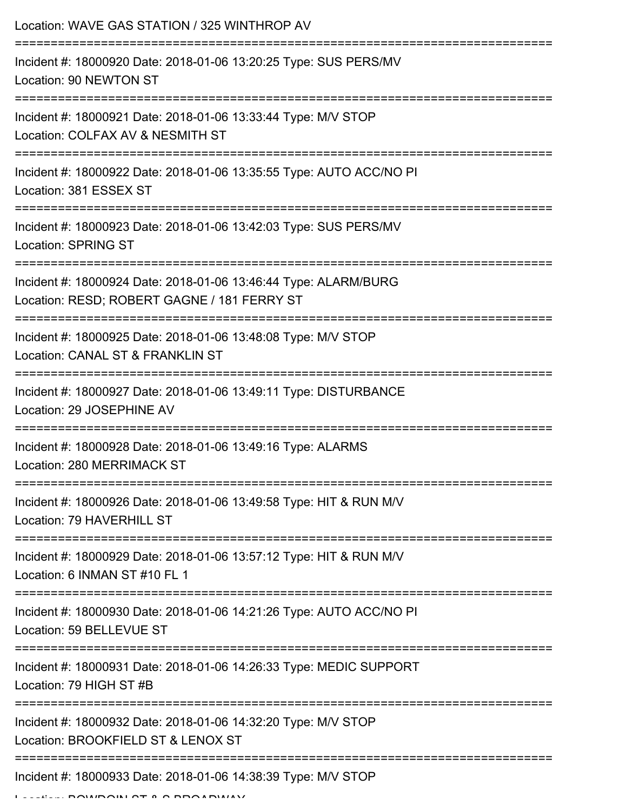| Location: WAVE GAS STATION / 325 WINTHROP AV                                                                          |
|-----------------------------------------------------------------------------------------------------------------------|
| Incident #: 18000920 Date: 2018-01-06 13:20:25 Type: SUS PERS/MV<br>Location: 90 NEWTON ST                            |
| Incident #: 18000921 Date: 2018-01-06 13:33:44 Type: M/V STOP<br>Location: COLFAX AV & NESMITH ST                     |
| Incident #: 18000922 Date: 2018-01-06 13:35:55 Type: AUTO ACC/NO PI<br>Location: 381 ESSEX ST                         |
| Incident #: 18000923 Date: 2018-01-06 13:42:03 Type: SUS PERS/MV<br><b>Location: SPRING ST</b>                        |
| Incident #: 18000924 Date: 2018-01-06 13:46:44 Type: ALARM/BURG<br>Location: RESD; ROBERT GAGNE / 181 FERRY ST        |
| Incident #: 18000925 Date: 2018-01-06 13:48:08 Type: M/V STOP<br>Location: CANAL ST & FRANKLIN ST                     |
| Incident #: 18000927 Date: 2018-01-06 13:49:11 Type: DISTURBANCE<br>Location: 29 JOSEPHINE AV<br>-------------------- |
| Incident #: 18000928 Date: 2018-01-06 13:49:16 Type: ALARMS<br>Location: 280 MERRIMACK ST                             |
| Incident #: 18000926 Date: 2018-01-06 13:49:58 Type: HIT & RUN M/V<br>Location: 79 HAVERHILL ST                       |
| Incident #: 18000929 Date: 2018-01-06 13:57:12 Type: HIT & RUN M/V<br>Location: 6 INMAN ST #10 FL 1                   |
| Incident #: 18000930 Date: 2018-01-06 14:21:26 Type: AUTO ACC/NO PI<br>Location: 59 BELLEVUE ST                       |
| Incident #: 18000931 Date: 2018-01-06 14:26:33 Type: MEDIC SUPPORT<br>Location: 79 HIGH ST #B                         |
| Incident #: 18000932 Date: 2018-01-06 14:32:20 Type: M/V STOP<br>Location: BROOKFIELD ST & LENOX ST                   |
| Incident #: 18000933 Date: 2018-01-06 14:38:39 Type: M/V STOP                                                         |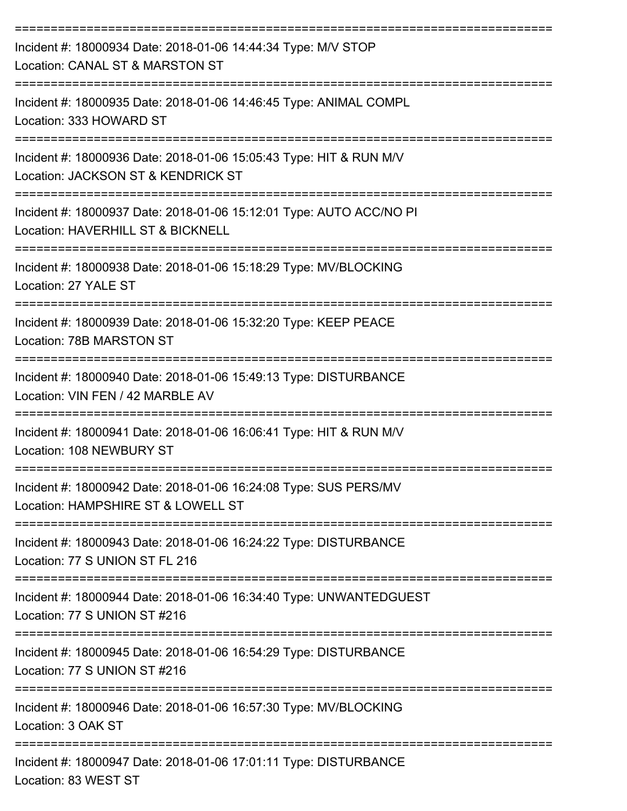| Incident #: 18000934 Date: 2018-01-06 14:44:34 Type: M/V STOP<br>Location: CANAL ST & MARSTON ST                                    |
|-------------------------------------------------------------------------------------------------------------------------------------|
| Incident #: 18000935 Date: 2018-01-06 14:46:45 Type: ANIMAL COMPL<br>Location: 333 HOWARD ST                                        |
| Incident #: 18000936 Date: 2018-01-06 15:05:43 Type: HIT & RUN M/V<br>Location: JACKSON ST & KENDRICK ST<br>----------------------- |
| Incident #: 18000937 Date: 2018-01-06 15:12:01 Type: AUTO ACC/NO PI<br>Location: HAVERHILL ST & BICKNELL                            |
| Incident #: 18000938 Date: 2018-01-06 15:18:29 Type: MV/BLOCKING<br>Location: 27 YALE ST                                            |
| Incident #: 18000939 Date: 2018-01-06 15:32:20 Type: KEEP PEACE<br>Location: 78B MARSTON ST                                         |
| Incident #: 18000940 Date: 2018-01-06 15:49:13 Type: DISTURBANCE<br>Location: VIN FEN / 42 MARBLE AV                                |
| Incident #: 18000941 Date: 2018-01-06 16:06:41 Type: HIT & RUN M/V<br>Location: 108 NEWBURY ST                                      |
| Incident #: 18000942 Date: 2018-01-06 16:24:08 Type: SUS PERS/MV<br>Location: HAMPSHIRE ST & LOWELL ST                              |
| Incident #: 18000943 Date: 2018-01-06 16:24:22 Type: DISTURBANCE<br>Location: 77 S UNION ST FL 216                                  |
| Incident #: 18000944 Date: 2018-01-06 16:34:40 Type: UNWANTEDGUEST<br>Location: 77 S UNION ST #216                                  |
| Incident #: 18000945 Date: 2018-01-06 16:54:29 Type: DISTURBANCE<br>Location: 77 S UNION ST #216                                    |
| Incident #: 18000946 Date: 2018-01-06 16:57:30 Type: MV/BLOCKING<br>Location: 3 OAK ST                                              |
| Incident #: 18000947 Date: 2018-01-06 17:01:11 Type: DISTURBANCE<br>Location: 83 WEST ST                                            |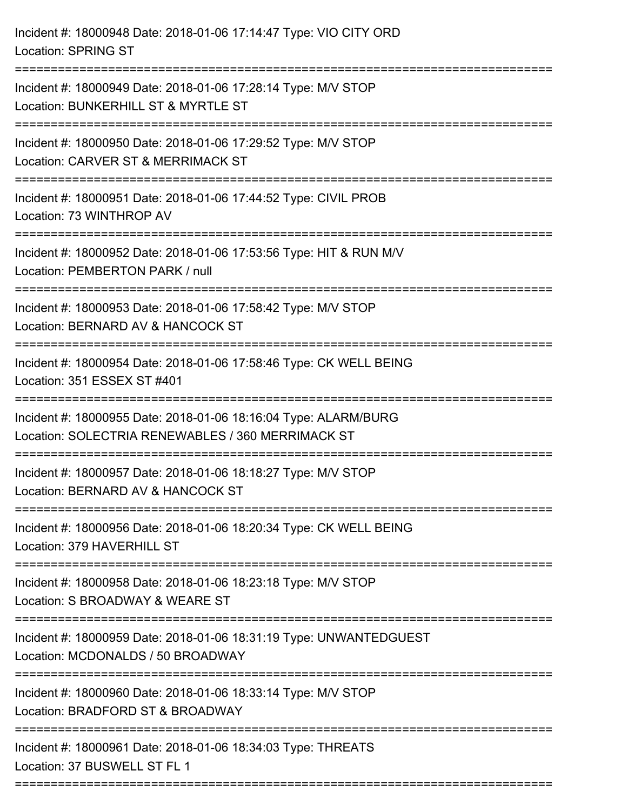| Incident #: 18000948 Date: 2018-01-06 17:14:47 Type: VIO CITY ORD<br><b>Location: SPRING ST</b>                                              |
|----------------------------------------------------------------------------------------------------------------------------------------------|
| Incident #: 18000949 Date: 2018-01-06 17:28:14 Type: M/V STOP<br>Location: BUNKERHILL ST & MYRTLE ST                                         |
| Incident #: 18000950 Date: 2018-01-06 17:29:52 Type: M/V STOP<br>Location: CARVER ST & MERRIMACK ST<br>---------------------<br>------------ |
| Incident #: 18000951 Date: 2018-01-06 17:44:52 Type: CIVIL PROB<br>Location: 73 WINTHROP AV                                                  |
| Incident #: 18000952 Date: 2018-01-06 17:53:56 Type: HIT & RUN M/V<br>Location: PEMBERTON PARK / null                                        |
| Incident #: 18000953 Date: 2018-01-06 17:58:42 Type: M/V STOP<br>Location: BERNARD AV & HANCOCK ST                                           |
| Incident #: 18000954 Date: 2018-01-06 17:58:46 Type: CK WELL BEING<br>Location: 351 ESSEX ST #401                                            |
| Incident #: 18000955 Date: 2018-01-06 18:16:04 Type: ALARM/BURG<br>Location: SOLECTRIA RENEWABLES / 360 MERRIMACK ST                         |
| Incident #: 18000957 Date: 2018-01-06 18:18:27 Type: M/V STOP<br>Location: BERNARD AV & HANCOCK ST                                           |
| Incident #: 18000956 Date: 2018-01-06 18:20:34 Type: CK WELL BEING<br>Location: 379 HAVERHILL ST                                             |
| Incident #: 18000958 Date: 2018-01-06 18:23:18 Type: M/V STOP<br>Location: S BROADWAY & WEARE ST                                             |
| --------------------<br>Incident #: 18000959 Date: 2018-01-06 18:31:19 Type: UNWANTEDGUEST<br>Location: MCDONALDS / 50 BROADWAY              |
| Incident #: 18000960 Date: 2018-01-06 18:33:14 Type: M/V STOP<br>Location: BRADFORD ST & BROADWAY                                            |
| Incident #: 18000961 Date: 2018-01-06 18:34:03 Type: THREATS<br>Location: 37 BUSWELL ST FL 1                                                 |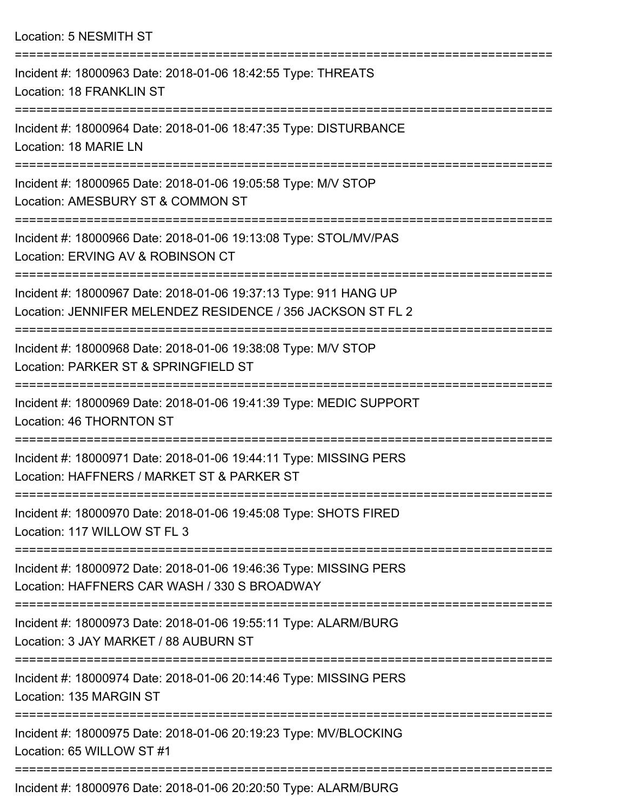Location: 5 NESMITH ST =========================================================================== Incident #: 18000963 Date: 2018-01-06 18:42:55 Type: THREATS Location: 18 FRANKLIN ST =========================================================================== Incident #: 18000964 Date: 2018-01-06 18:47:35 Type: DISTURBANCE Location: 18 MARIE LN =========================================================================== Incident #: 18000965 Date: 2018-01-06 19:05:58 Type: M/V STOP Location: AMESBURY ST & COMMON ST =========================================================================== Incident #: 18000966 Date: 2018-01-06 19:13:08 Type: STOL/MV/PAS Location: ERVING AV & ROBINSON CT =========================================================================== Incident #: 18000967 Date: 2018-01-06 19:37:13 Type: 911 HANG UP Location: JENNIFER MELENDEZ RESIDENCE / 356 JACKSON ST FL 2 =========================================================================== Incident #: 18000968 Date: 2018-01-06 19:38:08 Type: M/V STOP Location: PARKER ST & SPRINGFIELD ST =========================================================================== Incident #: 18000969 Date: 2018-01-06 19:41:39 Type: MEDIC SUPPORT Location: 46 THORNTON ST =========================================================================== Incident #: 18000971 Date: 2018-01-06 19:44:11 Type: MISSING PERS Location: HAFFNERS / MARKET ST & PARKER ST =========================================================================== Incident #: 18000970 Date: 2018-01-06 19:45:08 Type: SHOTS FIRED Location: 117 WILLOW ST FL 3 =========================================================================== Incident #: 18000972 Date: 2018-01-06 19:46:36 Type: MISSING PERS Location: HAFFNERS CAR WASH / 330 S BROADWAY =========================================================================== Incident #: 18000973 Date: 2018-01-06 19:55:11 Type: ALARM/BURG Location: 3 JAY MARKET / 88 AUBURN ST =========================================================================== Incident #: 18000974 Date: 2018-01-06 20:14:46 Type: MISSING PERS Location: 135 MARGIN ST =========================================================================== Incident #: 18000975 Date: 2018-01-06 20:19:23 Type: MV/BLOCKING Location: 65 WILLOW ST #1 ===========================================================================

Incident #: 18000976 Date: 2018-01-06 20:20:50 Type: ALARM/BURG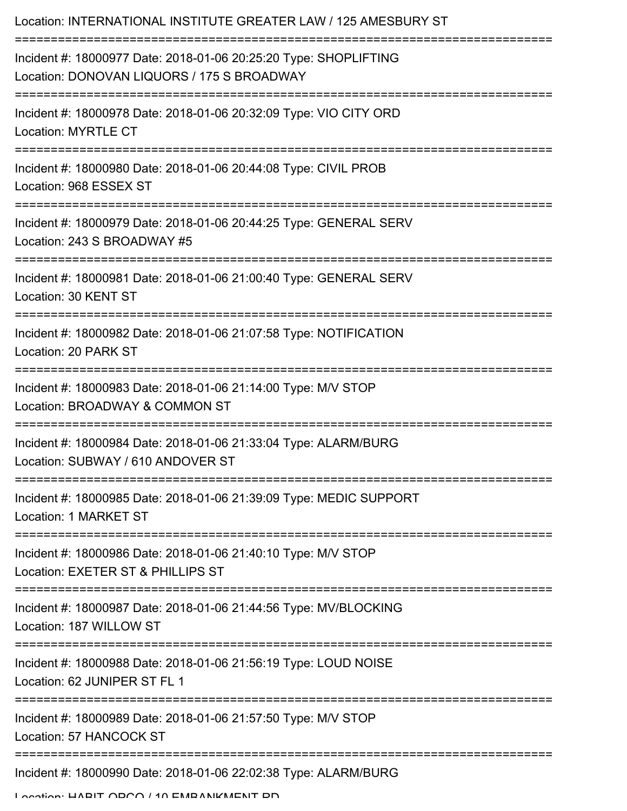| Location: INTERNATIONAL INSTITUTE GREATER LAW / 125 AMESBURY ST                                                                 |
|---------------------------------------------------------------------------------------------------------------------------------|
| Incident #: 18000977 Date: 2018-01-06 20:25:20 Type: SHOPLIFTING<br>Location: DONOVAN LIQUORS / 175 S BROADWAY                  |
| Incident #: 18000978 Date: 2018-01-06 20:32:09 Type: VIO CITY ORD<br><b>Location: MYRTLE CT</b>                                 |
| Incident #: 18000980 Date: 2018-01-06 20:44:08 Type: CIVIL PROB<br>Location: 968 ESSEX ST                                       |
| Incident #: 18000979 Date: 2018-01-06 20:44:25 Type: GENERAL SERV<br>Location: 243 S BROADWAY #5                                |
| Incident #: 18000981 Date: 2018-01-06 21:00:40 Type: GENERAL SERV<br>Location: 30 KENT ST                                       |
| Incident #: 18000982 Date: 2018-01-06 21:07:58 Type: NOTIFICATION<br>Location: 20 PARK ST                                       |
| Incident #: 18000983 Date: 2018-01-06 21:14:00 Type: M/V STOP<br>Location: BROADWAY & COMMON ST                                 |
| Incident #: 18000984 Date: 2018-01-06 21:33:04 Type: ALARM/BURG<br>Location: SUBWAY / 610 ANDOVER ST                            |
| ================================<br>Incident #: 18000985 Date: 2018-01-06 21:39:09 Type: MEDIC SUPPORT<br>Location: 1 MARKET ST |
| Incident #: 18000986 Date: 2018-01-06 21:40:10 Type: M/V STOP<br>Location: EXETER ST & PHILLIPS ST                              |
| Incident #: 18000987 Date: 2018-01-06 21:44:56 Type: MV/BLOCKING<br>Location: 187 WILLOW ST                                     |
| Incident #: 18000988 Date: 2018-01-06 21:56:19 Type: LOUD NOISE<br>Location: 62 JUNIPER ST FL 1                                 |
| Incident #: 18000989 Date: 2018-01-06 21:57:50 Type: M/V STOP<br>Location: 57 HANCOCK ST                                        |
| Incident #: 18000990 Date: 2018-01-06 22:02:38 Type: ALARM/BURG                                                                 |

Location: LIADIT ODCO / 10 EMBANIKMENT DD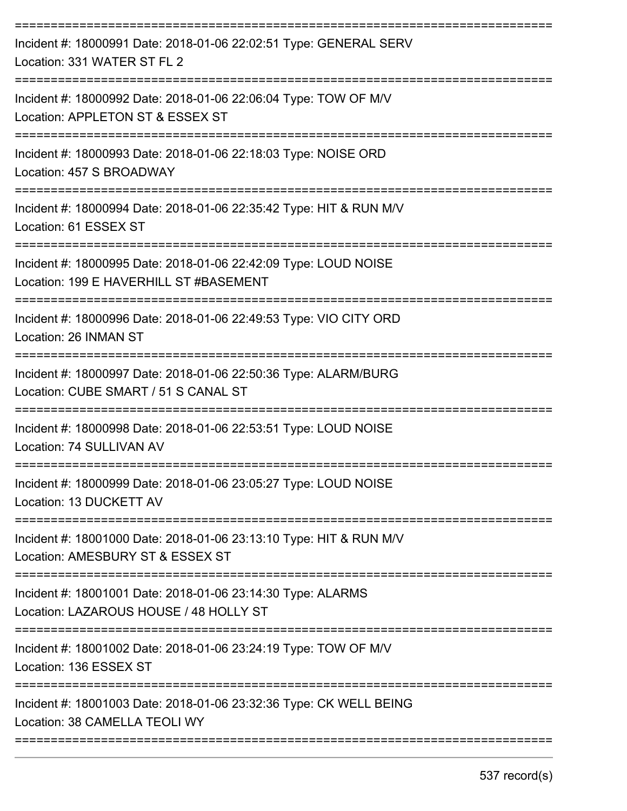| Incident #: 18000991 Date: 2018-01-06 22:02:51 Type: GENERAL SERV<br>Location: 331 WATER ST FL 2                                                   |
|----------------------------------------------------------------------------------------------------------------------------------------------------|
| Incident #: 18000992 Date: 2018-01-06 22:06:04 Type: TOW OF M/V<br>Location: APPLETON ST & ESSEX ST                                                |
| Incident #: 18000993 Date: 2018-01-06 22:18:03 Type: NOISE ORD<br>Location: 457 S BROADWAY                                                         |
| Incident #: 18000994 Date: 2018-01-06 22:35:42 Type: HIT & RUN M/V<br>Location: 61 ESSEX ST                                                        |
| Incident #: 18000995 Date: 2018-01-06 22:42:09 Type: LOUD NOISE<br>Location: 199 E HAVERHILL ST #BASEMENT                                          |
| Incident #: 18000996 Date: 2018-01-06 22:49:53 Type: VIO CITY ORD<br>Location: 26 INMAN ST                                                         |
| Incident #: 18000997 Date: 2018-01-06 22:50:36 Type: ALARM/BURG<br>Location: CUBE SMART / 51 S CANAL ST                                            |
| ==============================<br>=================<br>Incident #: 18000998 Date: 2018-01-06 22:53:51 Type: LOUD NOISE<br>Location: 74 SULLIVAN AV |
| Incident #: 18000999 Date: 2018-01-06 23:05:27 Type: LOUD NOISE<br>Location: 13 DUCKETT AV                                                         |
| Incident #: 18001000 Date: 2018-01-06 23:13:10 Type: HIT & RUN M/V<br>Location: AMESBURY ST & ESSEX ST                                             |
| Incident #: 18001001 Date: 2018-01-06 23:14:30 Type: ALARMS<br>Location: LAZAROUS HOUSE / 48 HOLLY ST                                              |
| Incident #: 18001002 Date: 2018-01-06 23:24:19 Type: TOW OF M/V<br>Location: 136 ESSEX ST                                                          |
| Incident #: 18001003 Date: 2018-01-06 23:32:36 Type: CK WELL BEING<br>Location: 38 CAMELLA TEOLI WY                                                |